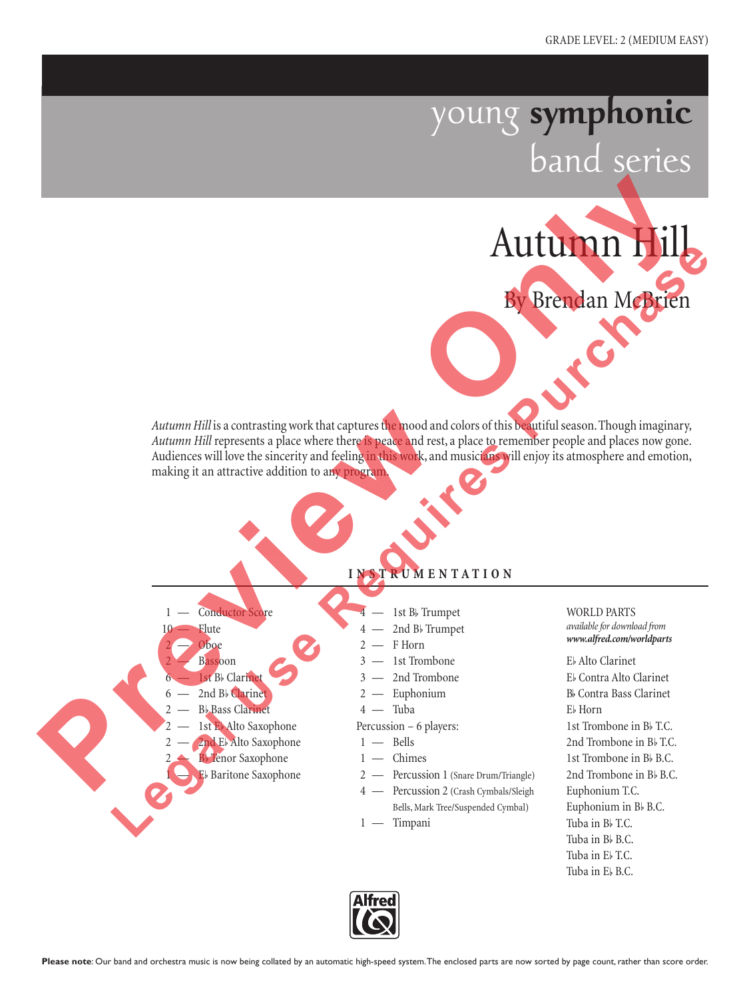## lung symphonic band series



By Brendan McBrien

*Autumn Hill* is a contrasting work that captures the mood and colors of this beautiful season. Though imaginary, *Autumn Hill* represents a place where there is peace and rest, a place to remember people and places now gone. Audiences will love the sincerity and feeling in this work, and musicians will enjoy its atmosphere and emotion, making it an attractive addition to any program. Autumn Hill<br>
No Brendan Mappeles<br>
Machine Mission Mappeles<br>
Machine Mission Mappeles<br>
Machine Mission Machine<br>
Machine Mission Machine<br>
Machine Mission Machine<br>
Machine Mission Machine<br>
Machine Mission Machine<br>
Machine Mis **LAULUP DIT THE Registration of the Control Control and Magnetic Control and Magnetic Control and Magnetic Control and Magnetic Control and Magnetic Control and Magnetic Control and Magnetic Control and Magnetic Control a** 

- 1 Conductor Score
- 10 Flute Oboe
- **Bassoon**
- 1st Bb Clarinet  $6 - 2$ nd B $\sqrt{6}$ Clarinet
- BL Bass Clarinet
- 1st Eb Alto Saxophone
- 2nd Eb Alto Saxophone
	- B<sub>2</sub> Tenor Saxophone
	- E<sub>b</sub> Baritone Saxophone
- **i n s t r u m e n t a t i o n**
	- 1st B<sub>b</sub> Trumpet
	- 2nd B<sub>b</sub> Trumpet
	- $2 F$  Horn
	- 3 1st Trombone
		- 2nd Trombone
	- 2 Euphonium
	- 4 Tuba
	- Percussion 6 players:
	- 1 Bells
	- 1 Chimes
	- 2 Percussion 1 (Snare Drum/Triangle)
	- 4 Percussion 2 (Crash Cymbals/Sleigh Bells, Mark Tree/Suspended Cymbal)
	- 1 Timpani

WORLD PARTS *available for download from www.alfred.com/worldparts*

E<sub>b</sub> Alto Clarinet E<sub>b</sub> Contra Alto Clarinet B<sub>b</sub> Contra Bass Clarinet E<sub>b</sub> Horn 1st Trombone in  $B \flat$  T.C. 2nd Trombone in B<sub>b</sub> T.C. 1st Trombone in B<sub>b</sub> B.C. 2nd Trombone in B<sub>b</sub> B.C. Euphonium T.C. Euphonium in B<sub>b</sub> B.C. Tuba in B<sub>b</sub> T.C. Tuba in B<sub>b</sub> B.C. Tuba in E<sub>b</sub> T.C.

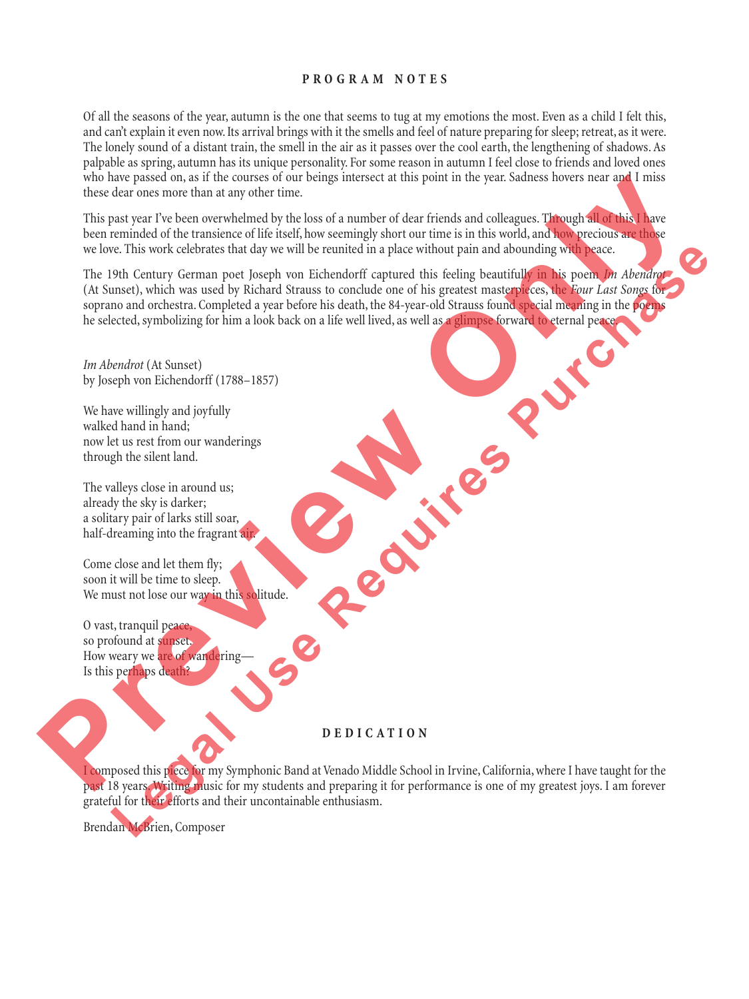## **p r o g r a m n o t e s**

Of all the seasons of the year, autumn is the one that seems to tug at my emotions the most. Even as a child I felt this, and can't explain it even now. Its arrival brings with it the smells and feel of nature preparing for sleep; retreat, as it were. The lonely sound of a distant train, the smell in the air as it passes over the cool earth, the lengthening of shadows. As palpable as spring, autumn has its unique personality. For some reason in autumn I feel close to friends and loved ones who have passed on, as if the courses of our beings intersect at this point in the year. Sadness hovers near and I miss these dear ones more than at any other time.

This past year I've been overwhelmed by the loss of a number of dear friends and colleagues. Through all of this I have been reminded of the transience of life itself, how seemingly short our time is in this world, and how precious are those we love. This work celebrates that day we will be reunited in a place without pain and abounding with peace.

The 19th Century German poet Joseph von Eichendorff captured this feeling beautifully in his poem *Im Abendrot* (At Sunset), which was used by Richard Strauss to conclude one of his greatest masterpieces, the *Four Last Songs* for soprano and orchestra. Completed a year before his death, the 84-year-old Strauss found special meaning in the poems he selected, symbolizing for him a look back on a life well lived, as well as a glimpse forward to eternal peace. who have present on each time course of our three plates of interesting<br>these duar ones there there are the base of the transformation of the first of how seemingly short our time is in this world.and<br>been reminded of the **Legal Use Controller Controller Controller Controller Controller Controller Controller Controller Controller Controller Controller Controller Controller Controller Controller Controller Controller Controller Controller Co** 

*Im Abendrot* (At Sunset) by Joseph von Eichendorff (1788–1857)

We have willingly and joyfully walked hand in hand; now let us rest from our wanderings through the silent land.

The valleys close in around us; already the sky is darker; a solitary pair of larks still soar, half-dreaming into the fragrant air.

Come close and let them fly; soon it will be time to sleep. We must not lose our way in this solitude.

O vast, tranquil peace, so profound at sunset. How weary we are of wandering-Is this perhaps death?

## **d e d i c a t i o n**

I composed this piece for my Symphonic Band at Venado Middle School in Irvine, California, where I have taught for the past 18 years. Writing music for my students and preparing it for performance is one of my greatest joys. I am forever grateful for their efforts and their uncontainable enthusiasm.

Brendan McBrien, Composer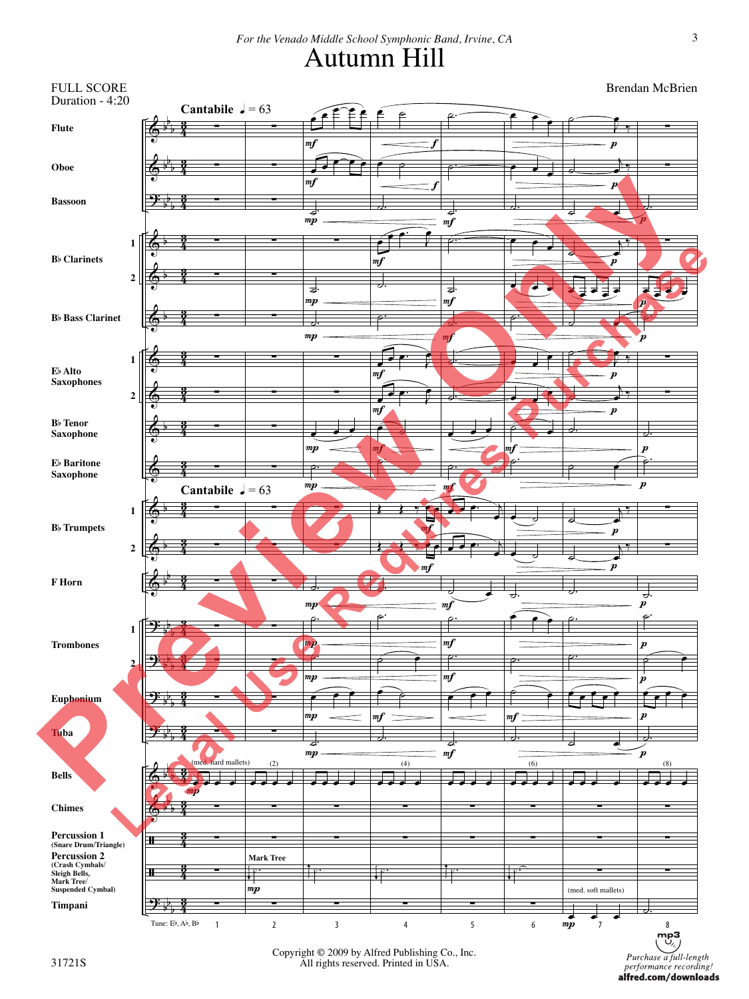## Autumn Hill



All rights reserved. Printed in USA.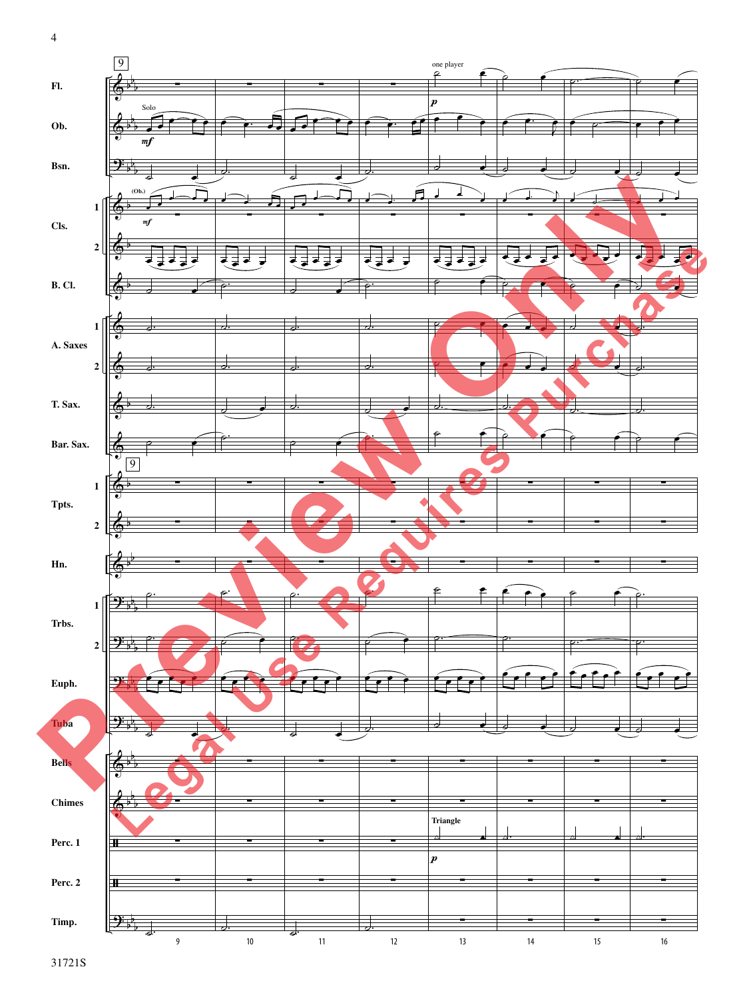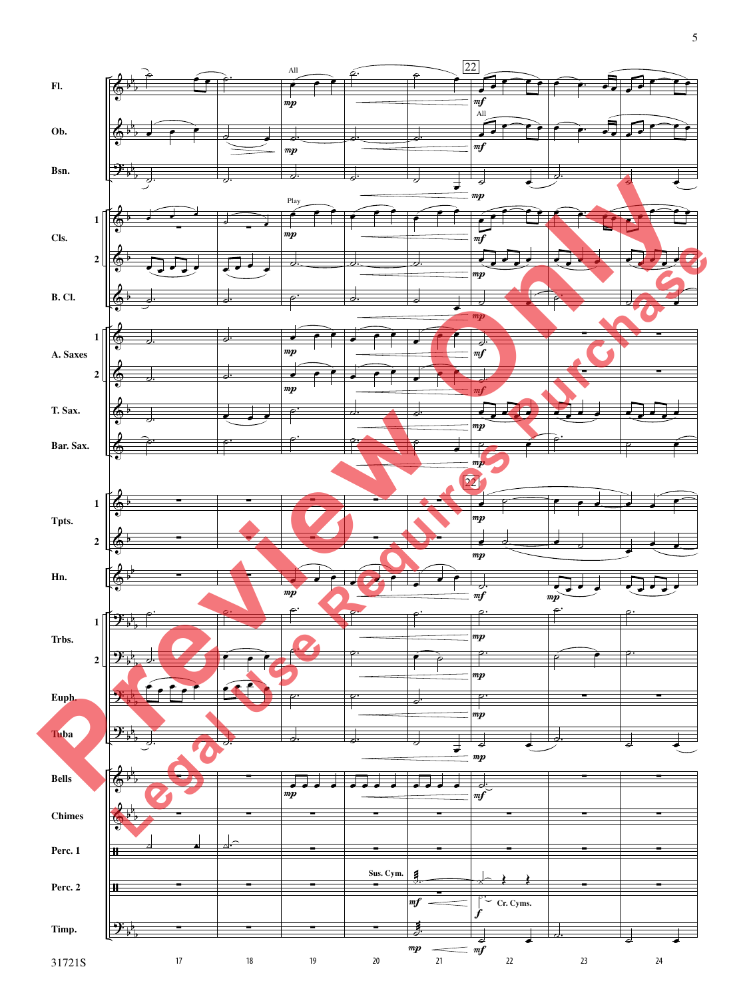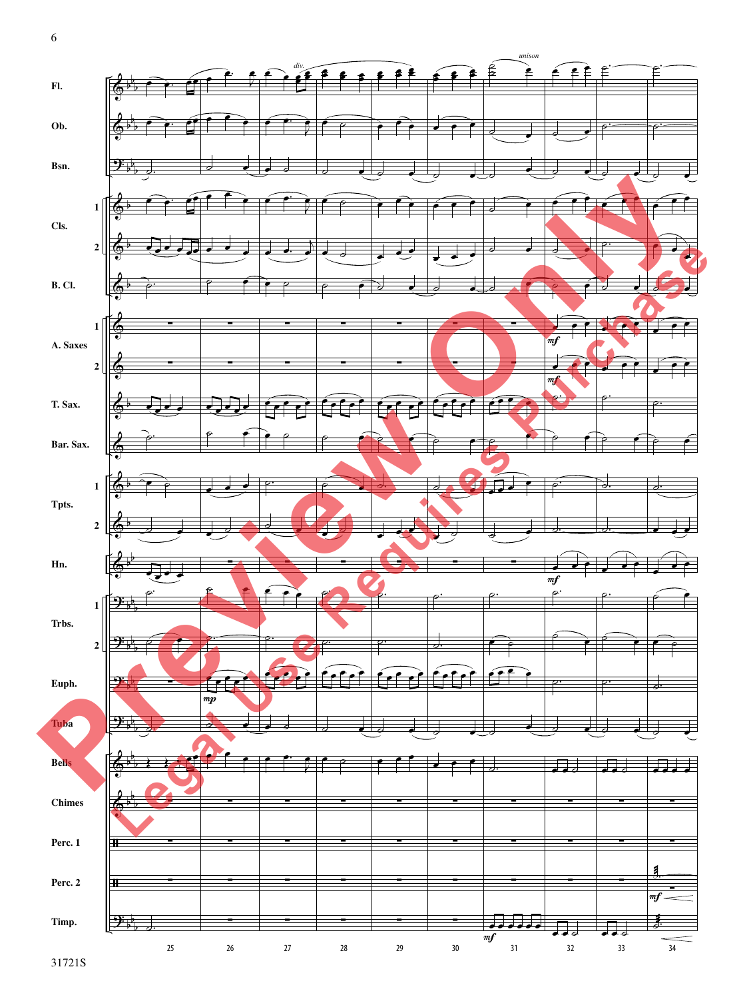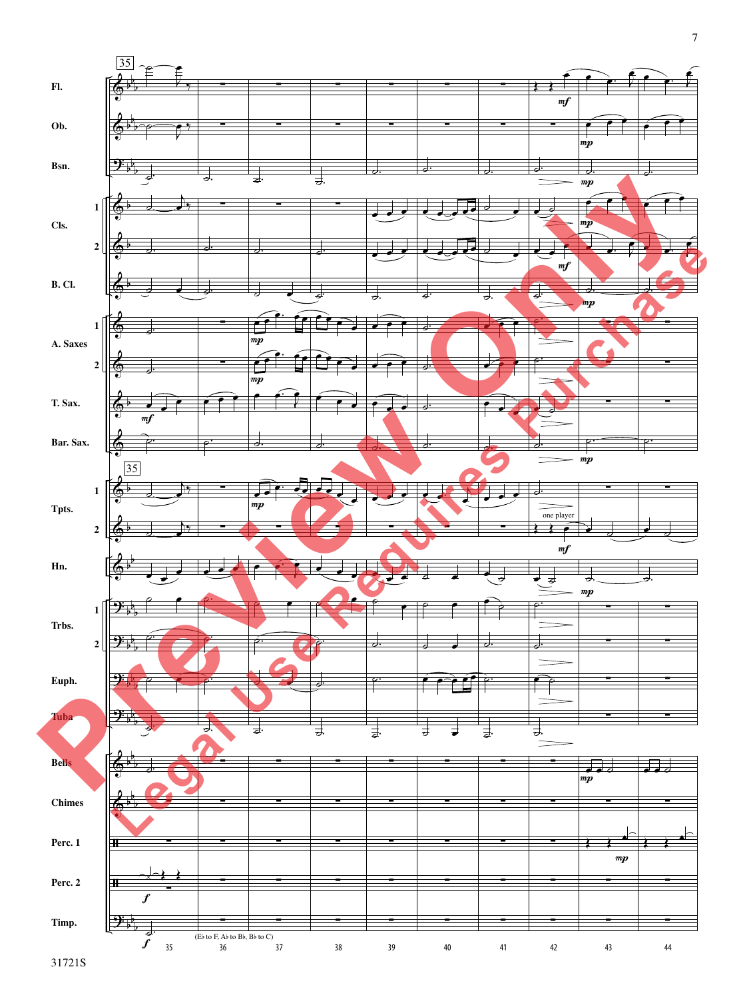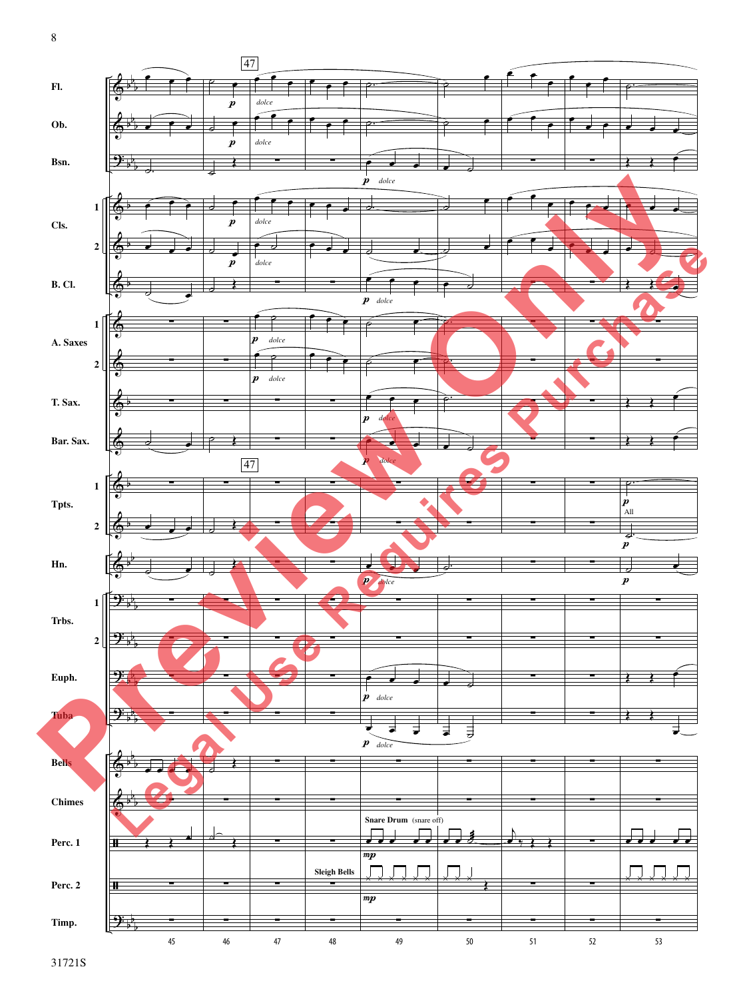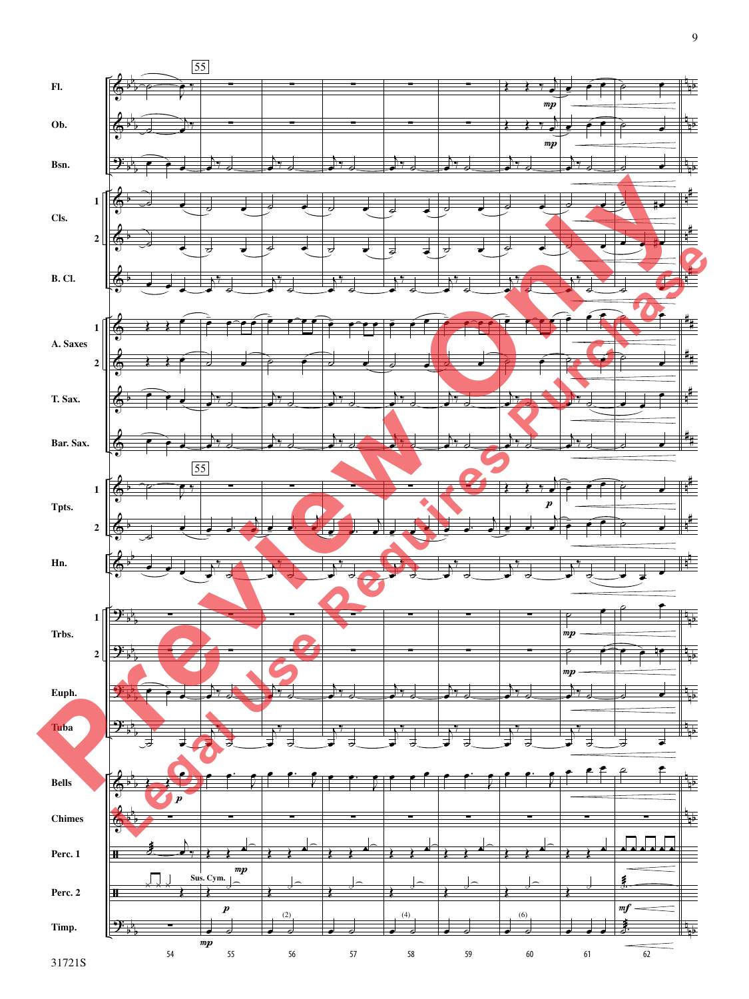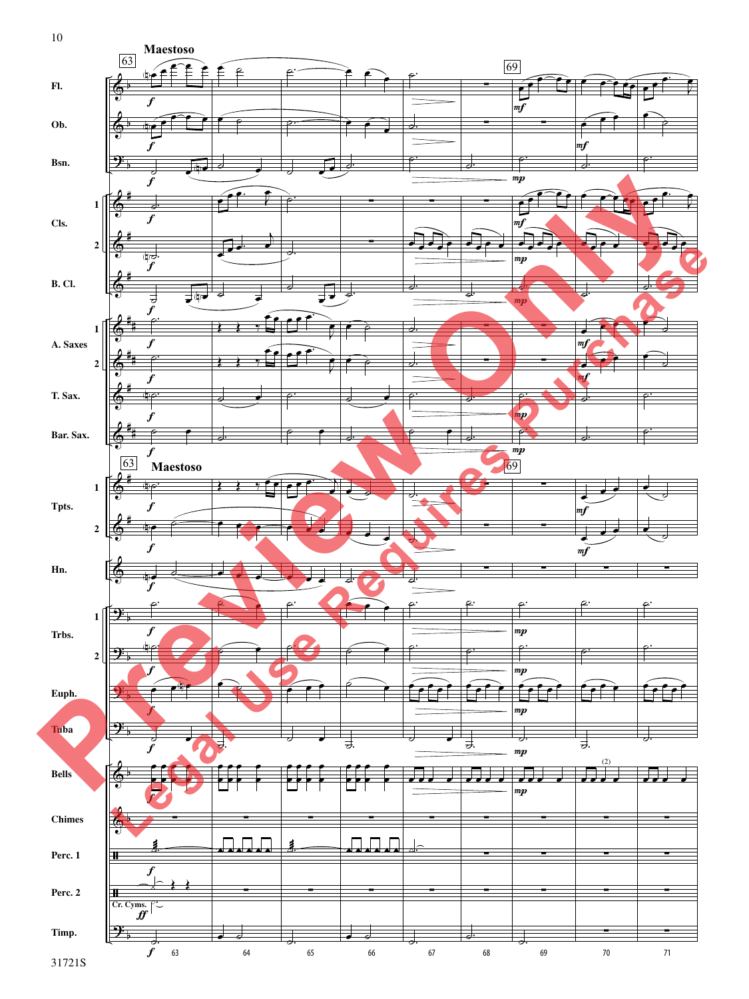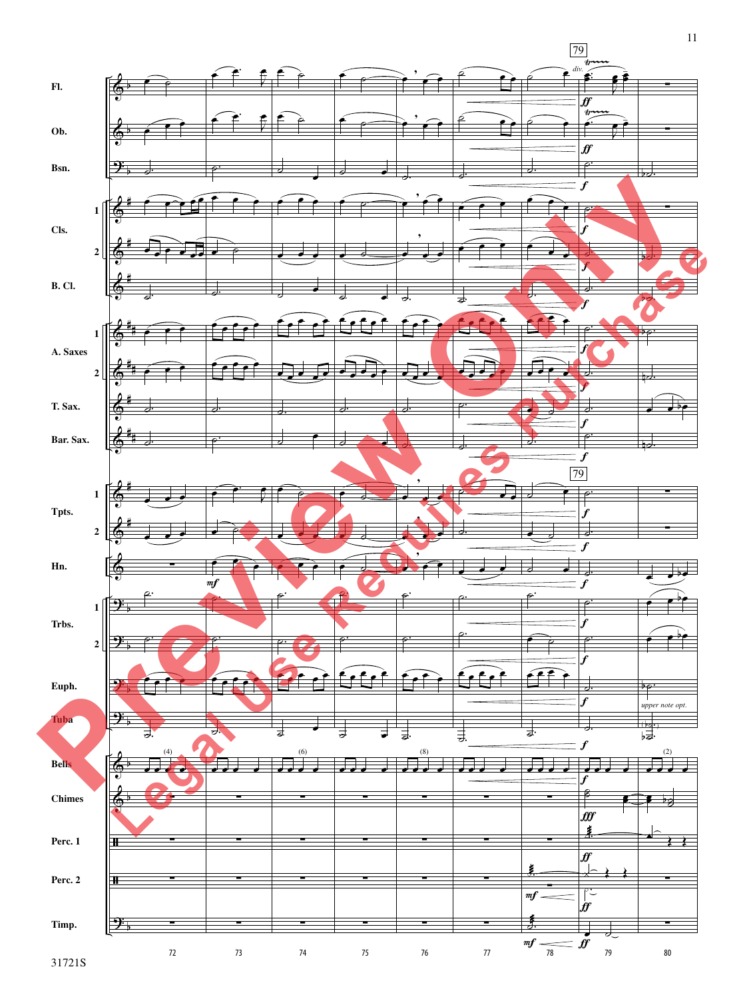